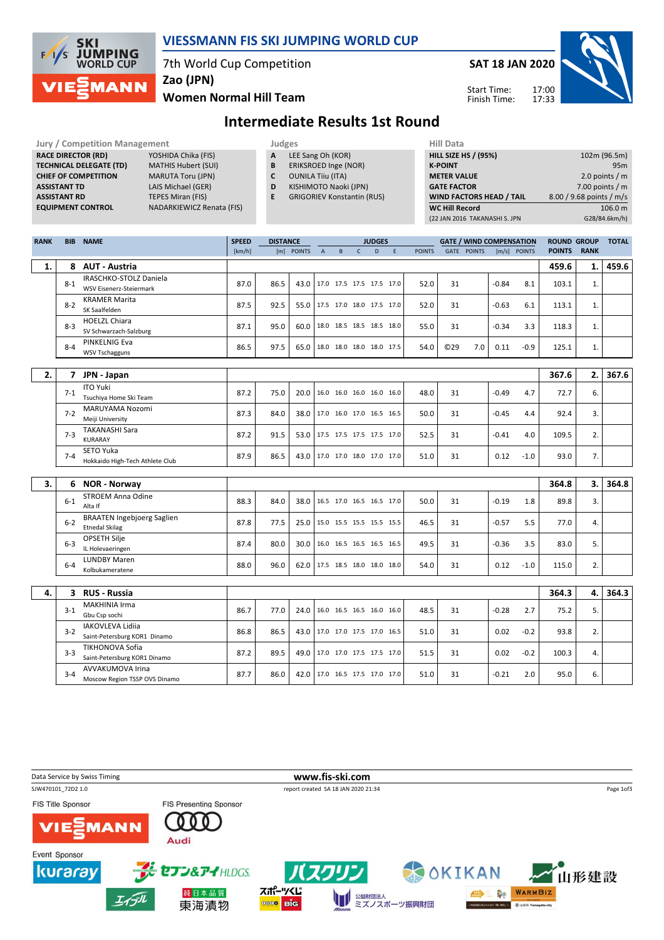

### VIESSMANN FIS SKI JUMPING WORLD CUP

7th World Cup Competition

Zao (JPN)

Women Normal Hill Team





### Intermediate Results 1st Round

| <b>Jury / Competition Management</b> |                            |   | Judges                            | <b>Hill Data</b>   |
|--------------------------------------|----------------------------|---|-----------------------------------|--------------------|
| <b>RACE DIRECTOR (RD)</b>            | YOSHIDA Chika (FIS)        | A | LEE Sang Oh (KOR)                 | <b>HILL SIZE H</b> |
| <b>TECHNICAL DELEGATE (TD)</b>       | <b>MATHIS Hubert (SUI)</b> | B | ERIKSROED Inge (NOR)              | <b>K-POINT</b>     |
| <b>CHIEF OF COMPETITION</b>          | <b>MARUTA Toru (JPN)</b>   |   | <b>OUNILA Tiiu (ITA)</b>          | <b>METER VA</b>    |
| <b>ASSISTANT TD</b>                  | LAIS Michael (GER)         | D | KISHIMOTO Naoki (JPN)             | <b>GATE FACT</b>   |
| <b>ASSISTANT RD</b>                  | <b>TEPES Miran (FIS)</b>   |   | <b>GRIGORIEV Konstantin (RUS)</b> | <b>WIND FAC</b>    |
| <b>EQUIPMENT CONTROL</b>             | NADARKIEWICZ Renata (FIS)  |   |                                   | <b>WC Hill Re</b>  |

- **B** ERIKSROED Inge (NOR)<br>**C** OUNILA Tiiu (ITA)
- 
- **C** OUNILA Tiiu (ITA)<br>**D** KISHIMOTO Naok KISHIMOTO Naoki (JPN)
- E GRIGORIEV Konstantin (RUS)

| <b>HILL SIZE HS / (95%)</b>     | 102m (96.5m)             |
|---------------------------------|--------------------------|
| <b>K-POINT</b>                  | 95m                      |
| <b>METER VALUE</b>              | 2.0 points $/m$          |
| <b>GATE FACTOR</b>              | 7.00 points $/m$         |
| <b>WIND FACTORS HEAD / TAIL</b> | 8.00 / 9.68 points / m/s |
| <b>WC Hill Record</b>           | 106.0 m                  |
| (22 JAN 2016 TAKANASHI S. JPN   | G28/84.6km/h)            |
|                                 |                          |

| <b>RANK</b> |         | <b>BIB NAME</b>                                            | <b>SPEED</b> | <b>DISTANCE</b> |                                 |                |                          |              | <b>JUDGES</b> |   |               |                 | <b>GATE / WIND COMPENSATION</b> |         |              | <b>ROUND GROUP</b> |             | <b>TOTAL</b> |
|-------------|---------|------------------------------------------------------------|--------------|-----------------|---------------------------------|----------------|--------------------------|--------------|---------------|---|---------------|-----------------|---------------------------------|---------|--------------|--------------------|-------------|--------------|
|             |         |                                                            | [km/h]       |                 | [m] POINTS                      | $\overline{A}$ | $\sf{B}$                 | $\mathsf{C}$ | D             | E | <b>POINTS</b> |                 | GATE POINTS                     |         | [m/s] POINTS | <b>POINTS</b>      | <b>RANK</b> |              |
| 1.          | 8       | <b>AUT - Austria</b>                                       |              |                 |                                 |                |                          |              |               |   |               |                 |                                 |         |              | 459.6              | 1.          | 459.6        |
|             | $8 - 1$ | IRASCHKO-STOLZ Daniela<br><b>WSV Eisenerz-Steiermark</b>   | 87.0         | 86.5            | 43.0                            |                | 17.0 17.5 17.5 17.5 17.0 |              |               |   | 52.0          | 31              |                                 | $-0.84$ | 8.1          | 103.1              | 1.          |              |
|             | $8 - 2$ | <b>KRAMER Marita</b><br>SK Saalfelden                      | 87.5         | 92.5            | 55.0 17.5 17.0 18.0 17.5 17.0   |                |                          |              |               |   | 52.0          | 31              |                                 | $-0.63$ | 6.1          | 113.1              | 1.          |              |
|             | $8 - 3$ | <b>HOELZL Chiara</b><br>SV Schwarzach-Salzburg             | 87.1         | 95.0            | 60.0   18.0 18.5 18.5 18.5 18.0 |                |                          |              |               |   | 55.0          | 31              |                                 | $-0.34$ | 3.3          | 118.3              | 1.          |              |
|             | $8 - 4$ | PINKELNIG Eva<br><b>WSV Tschagguns</b>                     | 86.5         | 97.5            | 65.0                            |                | 18.0 18.0 18.0 18.0 17.5 |              |               |   | 54.0          | C <sub>29</sub> | 7.0                             | 0.11    | $-0.9$       | 125.1              | 1.          |              |
|             |         |                                                            |              |                 |                                 |                |                          |              |               |   |               |                 |                                 |         |              |                    |             |              |
| 2.          |         | 7 JPN - Japan                                              |              |                 |                                 |                |                          |              |               |   |               |                 |                                 |         |              | 367.6              | 2.          | 367.6        |
|             | $7 - 1$ | <b>ITO Yuki</b><br>Tsuchiya Home Ski Team                  | 87.2         | 75.0            | 20.0                            |                | 16.0 16.0 16.0 16.0 16.0 |              |               |   | 48.0          | 31              |                                 | $-0.49$ | 4.7          | 72.7               | 6.          |              |
|             | $7 - 2$ | MARUYAMA Nozomi<br>Meiji University                        | 87.3         | 84.0            | 38.0                            |                | 17.0 16.0 17.0 16.5 16.5 |              |               |   | 50.0          | 31              |                                 | $-0.45$ | 4.4          | 92.4               | 3.          |              |
|             | $7-3$   | <b>TAKANASHI Sara</b><br>KURARAY                           | 87.2         | 91.5            | 53.0   17.5 17.5 17.5 17.5 17.0 |                |                          |              |               |   | 52.5          | 31              |                                 | $-0.41$ | 4.0          | 109.5              | 2.          |              |
|             | $7 - 4$ | SETO Yuka<br>Hokkaido High-Tech Athlete Club               | 87.9         | 86.5            | 43.0                            |                | 17.0 17.0 18.0 17.0 17.0 |              |               |   | 51.0          | 31              |                                 | 0.12    | $-1.0$       | 93.0               | 7.          |              |
|             |         |                                                            |              |                 |                                 |                |                          |              |               |   |               |                 |                                 |         |              |                    |             |              |
| 3.          |         | 6 NOR - Norway                                             |              |                 |                                 |                |                          |              |               |   |               |                 |                                 |         |              | 364.8              | 3.          | 364.8        |
|             | $6-1$   | <b>STROEM Anna Odine</b><br>Alta If                        | 88.3         | 84.0            | 38.0 16.5 17.0 16.5 16.5 17.0   |                |                          |              |               |   | 50.0          | 31              |                                 | $-0.19$ | 1.8          | 89.8               | 3.          |              |
|             | $6 - 2$ | <b>BRAATEN Ingebjoerg Saglien</b><br><b>Etnedal Skilag</b> | 87.8         | 77.5            | 25.0                            |                | 15.0 15.5 15.5 15.5 15.5 |              |               |   | 46.5          | 31              |                                 | $-0.57$ | 5.5          | 77.0               | 4.          |              |
|             | $6-3$   | <b>OPSETH Silje</b><br>IL Holevaeringen                    | 87.4         | 80.0            | 30.0 16.0 16.5 16.5 16.5 16.5   |                |                          |              |               |   | 49.5          | 31              |                                 | $-0.36$ | 3.5          | 83.0               | 5.          |              |
|             | $6 - 4$ | <b>LUNDBY Maren</b><br>Kolbukameratene                     | 88.0         | 96.0            | 62.0 17.5 18.5 18.0 18.0 18.0   |                |                          |              |               |   | 54.0          | 31              |                                 | 0.12    | $-1.0$       | 115.0              | 2.          |              |
|             |         |                                                            |              |                 |                                 |                |                          |              |               |   |               |                 |                                 |         |              |                    |             |              |
| 4.          | 3       | <b>RUS - Russia</b>                                        |              |                 |                                 |                |                          |              |               |   |               |                 |                                 |         |              | 364.3              | 4.          | 364.3        |
|             | $3 - 1$ | <b>MAKHINIA Irma</b><br>Gbu Csp sochi                      | 86.7         | 77.0            | 24.0                            |                | 16.0 16.5 16.5 16.0 16.0 |              |               |   | 48.5          | 31              |                                 | $-0.28$ | 2.7          | 75.2               | 5.          |              |
|             | $3-2$   | <b>IAKOVLEVA Lidiia</b><br>Saint-Petersburg KOR1 Dinamo    | 86.8         | 86.5            | 43.0                            |                | 17.0 17.0 17.5 17.0 16.5 |              |               |   | 51.0          | 31              |                                 | 0.02    | $-0.2$       | 93.8               | 2.          |              |
|             | $3 - 3$ | <b>TIKHONOVA Sofia</b><br>Saint-Petersburg KOR1 Dinamo     | 87.2         | 89.5            | 49.0                            |                | 17.0 17.0 17.5 17.5 17.0 |              |               |   | 51.5          | 31              |                                 | 0.02    | $-0.2$       | 100.3              | 4.          |              |
|             | $3 - 4$ | <b>AVVAKUMOVA Irina</b><br>Moscow Region TSSP OVS Dinamo   | 87.7         | 86.0            | 42.0   17.0 16.5 17.5 17.0 17.0 |                |                          |              |               |   | 51.0          | 31              |                                 | -0.21   | 2.0          | 95.0               | 6.          |              |

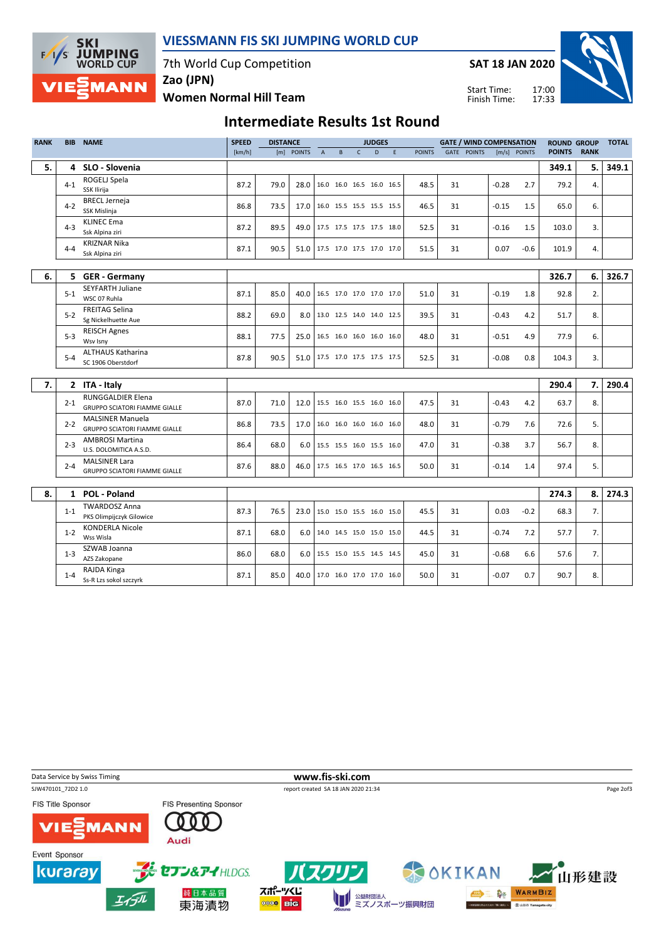

### VIESSMANN FIS SKI JUMPING WORLD CUP

7th World Cup Competition

SAT 18 JAN 2020

Start Time: Finish Time:



Women Normal Hill Team Zao (JPN)

## Intermediate Results 1st Round

| <b>RANK</b> | <b>BIB</b> | <b>NAME</b>                                                      | <b>SPEED</b> | <b>DISTANCE</b> |            |                |   |              | <b>JUDGES</b>            |    |               |    | <b>GATE / WIND COMPENSATION</b> |         |              | <b>ROUND GROUP</b> |             | <b>TOTAL</b> |
|-------------|------------|------------------------------------------------------------------|--------------|-----------------|------------|----------------|---|--------------|--------------------------|----|---------------|----|---------------------------------|---------|--------------|--------------------|-------------|--------------|
|             |            |                                                                  | [km/h]       |                 | [m] POINTS | $\overline{A}$ | B | $\mathsf{C}$ | D                        | F. | <b>POINTS</b> |    | GATE POINTS                     |         | [m/s] POINTS | <b>POINTS</b>      | <b>RANK</b> |              |
| 5.          | 4          | SLO - Slovenia                                                   |              |                 |            |                |   |              |                          |    |               |    |                                 |         |              | 349.1              | 5.          | 349.1        |
|             | $4 - 1$    | ROGELJ Spela                                                     | 87.2         | 79.0            | 28.0       |                |   |              | 16.0 16.0 16.5 16.0 16.5 |    | 48.5          | 31 |                                 | $-0.28$ | 2.7          | 79.2               | 4.          |              |
|             |            | SSK Ilirija                                                      |              |                 |            |                |   |              |                          |    |               |    |                                 |         |              |                    |             |              |
|             | $4 - 2$    | <b>BRECL Jerneja</b><br>SSK Mislinja                             | 86.8         | 73.5            | 17.0       |                |   |              | 16.0 15.5 15.5 15.5 15.5 |    | 46.5          | 31 |                                 | $-0.15$ | 1.5          | 65.0               | 6.          |              |
|             | $4 - 3$    | <b>KLINEC Ema</b><br>Ssk Alpina ziri                             | 87.2         | 89.5            | 49.0       |                |   |              | 17.5 17.5 17.5 17.5 18.0 |    | 52.5          | 31 |                                 | $-0.16$ | 1.5          | 103.0              | 3.          |              |
|             | $4 - 4$    | <b>KRIZNAR Nika</b><br>Ssk Alpina ziri                           | 87.1         | 90.5            | 51.0       |                |   |              | 17.5 17.0 17.5 17.0 17.0 |    | 51.5          | 31 |                                 | 0.07    | $-0.6$       | 101.9              | 4.          |              |
|             |            |                                                                  |              |                 |            |                |   |              |                          |    |               |    |                                 |         |              |                    |             |              |
| 6.          |            | 5 GER - Germany                                                  |              |                 |            |                |   |              |                          |    |               |    |                                 |         |              | 326.7              | 6.          | 326.7        |
|             | $5 - 1$    | <b>SEYFARTH Juliane</b><br>WSC 07 Ruhla                          | 87.1         | 85.0            | 40.0       |                |   |              | 16.5 17.0 17.0 17.0 17.0 |    | 51.0          | 31 |                                 | $-0.19$ | 1.8          | 92.8               | 2.          |              |
|             | $5 - 2$    | <b>FREITAG Selina</b><br>Sg Nickelhuette Aue                     | 88.2         | 69.0            | 8.0        |                |   |              | 13.0 12.5 14.0 14.0 12.5 |    | 39.5          | 31 |                                 | $-0.43$ | 4.2          | 51.7               | 8.          |              |
|             | $5 - 3$    | <b>REISCH Agnes</b><br>Wsv Isny                                  | 88.1         | 77.5            | 25.0       |                |   |              | 16.5 16.0 16.0 16.0 16.0 |    | 48.0          | 31 |                                 | $-0.51$ | 4.9          | 77.9               | 6.          |              |
|             | $5 - 4$    | <b>ALTHAUS Katharina</b><br>SC 1906 Oberstdorf                   | 87.8         | 90.5            | 51.0       |                |   |              | 17.5 17.0 17.5 17.5 17.5 |    | 52.5          | 31 |                                 | $-0.08$ | 0.8          | 104.3              | 3.          |              |
|             |            |                                                                  |              |                 |            |                |   |              |                          |    |               |    |                                 |         |              |                    |             |              |
| 7.          |            | 2 ITA - Italy                                                    |              |                 |            |                |   |              |                          |    |               |    |                                 |         |              | 290.4              | 7.          | 290.4        |
|             | $2 - 1$    | <b>RUNGGALDIER Elena</b><br><b>GRUPPO SCIATORI FIAMME GIALLE</b> | 87.0         | 71.0            | 12.0       |                |   |              | 15.5 16.0 15.5 16.0 16.0 |    | 47.5          | 31 |                                 | $-0.43$ | 4.2          | 63.7               | 8.          |              |
|             | $2 - 2$    | <b>MALSINER Manuela</b><br><b>GRUPPO SCIATORI FIAMME GIALLE</b>  | 86.8         | 73.5            | 17.0       |                |   |              | 16.0 16.0 16.0 16.0 16.0 |    | 48.0          | 31 |                                 | $-0.79$ | 7.6          | 72.6               | 5.          |              |
|             | $2 - 3$    | <b>AMBROSI Martina</b><br>U.S. DOLOMITICA A.S.D.                 | 86.4         | 68.0            | 6.0        |                |   |              | 15.5 15.5 16.0 15.5 16.0 |    | 47.0          | 31 |                                 | $-0.38$ | 3.7          | 56.7               | 8.          |              |
|             | $2 - 4$    | <b>MALSINER Lara</b><br><b>GRUPPO SCIATORI FIAMME GIALLE</b>     | 87.6         | 88.0            | 46.0       |                |   |              | 17.5 16.5 17.0 16.5 16.5 |    | 50.0          | 31 |                                 | $-0.14$ | 1.4          | 97.4               | 5.          |              |
|             |            |                                                                  |              |                 |            |                |   |              |                          |    |               |    |                                 |         |              |                    |             |              |
| 8.          |            | 1 POL - Poland                                                   |              |                 |            |                |   |              |                          |    |               |    |                                 |         |              | 274.3              | 8.          | 274.3        |
|             | $1 - 1$    | <b>TWARDOSZ Anna</b><br>PKS Olimpijczyk Gilowice                 | 87.3         | 76.5            | 23.0       |                |   |              | 15.0 15.0 15.5 16.0 15.0 |    | 45.5          | 31 |                                 | 0.03    | $-0.2$       | 68.3               | 7.          |              |
|             | $1 - 2$    | <b>KONDERLA Nicole</b><br>Wss Wisla                              | 87.1         | 68.0            | 6.0        |                |   |              | 14.0 14.5 15.0 15.0 15.0 |    | 44.5          | 31 |                                 | $-0.74$ | 7.2          | 57.7               | 7.          |              |
|             | $1 - 3$    | SZWAB Joanna<br>AZS Zakopane                                     | 86.0         | 68.0            | 6.0        |                |   |              | 15.5 15.0 15.5 14.5 14.5 |    | 45.0          | 31 |                                 | $-0.68$ | 6.6          | 57.6               | 7.          |              |
|             | $1 - 4$    | RAJDA Kinga<br>Ss-R Lzs sokol szczyrk                            | 87.1         | 85.0            | 40.0 l     |                |   |              | 17.0 16.0 17.0 17.0 16.0 |    | 50.0          | 31 |                                 | $-0.07$ | 0.7          | 90.7               | 8.          |              |